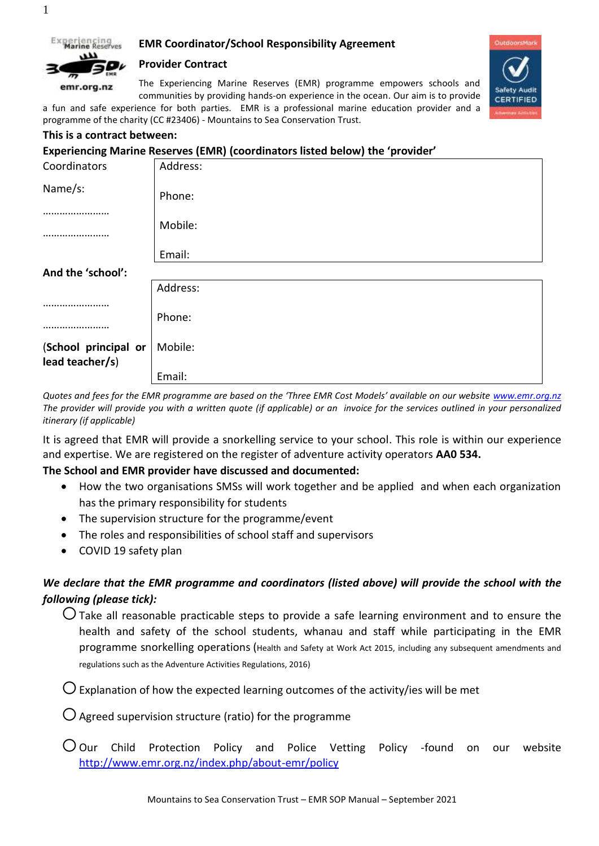

1

## **EMR Coordinator/School Responsibility Agreement**

## **Provider Contract**



The Experiencing Marine Reserves (EMR) programme empowers schools and communities by providing hands-on experience in the ocean. Our aim is to provide

a fun and safe experience for both parties. EMR is a professional marine education provider and a programme of the charity (CC #23406) - Mountains to Sea Conservation Trust.

### **This is a contract between:**

### **Experiencing Marine Reserves (EMR) (coordinators listed below) the 'provider'**

| Coordinators                            | Address: |
|-----------------------------------------|----------|
| Name/s:                                 | Phone:   |
|                                         | Mobile:  |
|                                         | Email:   |
| And the 'school':                       |          |
|                                         | Address: |
|                                         | Phone:   |
| (School principal or<br>lead teacher/s) | Mobile:  |
|                                         | Email:   |

*Quotes and fees for the EMR programme are based on the 'Three EMR Cost Models' available on our website [www.emr.org.nz](http://www.emr.org.nz/) The provider will provide you with a written quote (if applicable) or an invoice for the services outlined in your personalized itinerary (if applicable)*

It is agreed that EMR will provide a snorkelling service to your school. This role is within our experience and expertise. We are registered on the register of adventure activity operators **AA0 534.**

## **The School and EMR provider have discussed and documented:**

- How the two organisations SMSs will work together and be applied and when each organization has the primary responsibility for students
- The supervision structure for the programme/event
- The roles and responsibilities of school staff and supervisors
- COVID 19 safety plan

# *We declare that the EMR programme and coordinators (listed above) will provide the school with the following (please tick):*

 $\bigcirc$  Take all reasonable practicable steps to provide a safe learning environment and to ensure the health and safety of the school students, whanau and staff while participating in the EMR programme snorkelling operations (Health and Safety at Work Act 2015, including any subsequent amendments and regulations such as the Adventure Activities Regulations, 2016)

 $\bigcirc$  Explanation of how the expected learning outcomes of the activity/ies will be met

 $\bigcirc$  Agreed supervision structure (ratio) for the programme

 $\overline{O}$  Our Child Protection Policy and Police Vetting Policy -found on our website <http://www.emr.org.nz/index.php/about-emr/policy>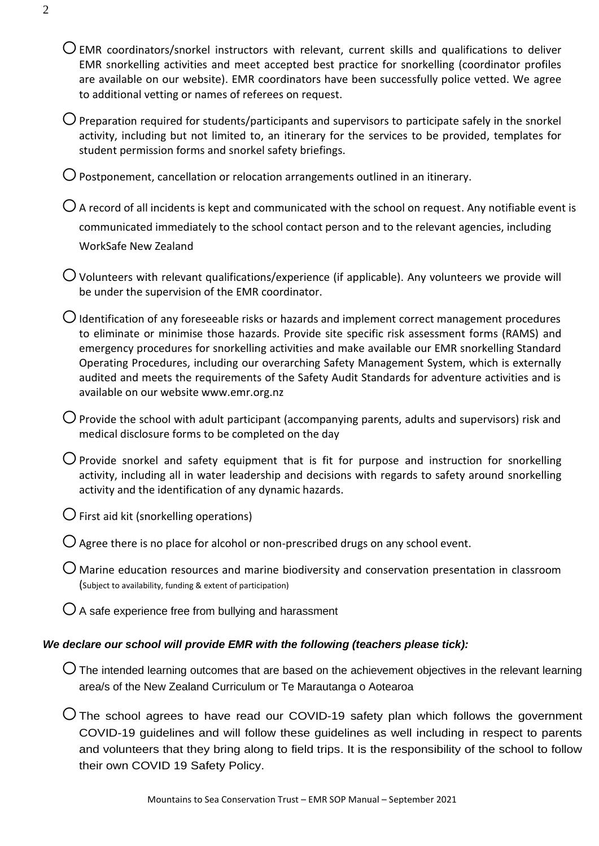- $\overline{O}$  EMR coordinators/snorkel instructors with relevant, current skills and qualifications to deliver EMR snorkelling activities and meet accepted best practice for snorkelling (coordinator profiles are available on our website). EMR coordinators have been successfully police vetted. We agree to additional vetting or names of referees on request.
- $\bigcirc$  Preparation required for students/participants and supervisors to participate safely in the snorkel activity, including but not limited to, an itinerary for the services to be provided, templates for student permission forms and snorkel safety briefings.
- $\bigcirc$  Postponement, cancellation or relocation arrangements outlined in an itinerary.
- $\bigcirc$  A record of all incidents is kept and communicated with the school on request. Any notifiable event is communicated immediately to the school contact person and to the relevant agencies, including WorkSafe New Zealand
- $\overline{O}$  Volunteers with relevant qualifications/experience (if applicable). Any volunteers we provide will be under the supervision of the EMR coordinator.
- $\bigcirc$  Identification of any foreseeable risks or hazards and implement correct management procedures to eliminate or minimise those hazards. Provide site specific risk assessment forms (RAMS) and emergency procedures for snorkelling activities and make available our EMR snorkelling Standard Operating Procedures, including our overarching Safety Management System, which is externally audited and meets the requirements of the Safety Audit Standards for adventure activities and is available on our website www.emr.org.nz
- $\bigcirc$  Provide the school with adult participant (accompanying parents, adults and supervisors) risk and medical disclosure forms to be completed on the day
- $\bigcirc$  Provide snorkel and safety equipment that is fit for purpose and instruction for snorkelling activity, including all in water leadership and decisions with regards to safety around snorkelling activity and the identification of any dynamic hazards.
- $\bigcirc$  First aid kit (snorkelling operations)
- $\bigcirc$  Agree there is no place for alcohol or non-prescribed drugs on any school event.
- $\bigcup$  Marine education resources and marine biodiversity and conservation presentation in classroom (Subject to availability, funding & extent of participation)
- $\overline{O}$  A safe experience free from bullying and harassment

## *We declare our school will provide EMR with the following (teachers please tick):*

- $\bigcirc$  The intended learning outcomes that are based on the achievement objectives in the relevant learning area/s of the New Zealand Curriculum or Te Marautanga o Aotearoa
- $\overline{O}$  The school agrees to have read our COVID-19 safety plan which follows the government COVID-19 guidelines and will follow these guidelines as well including in respect to parents and volunteers that they bring along to field trips. It is the responsibility of the school to follow their own COVID 19 Safety Policy.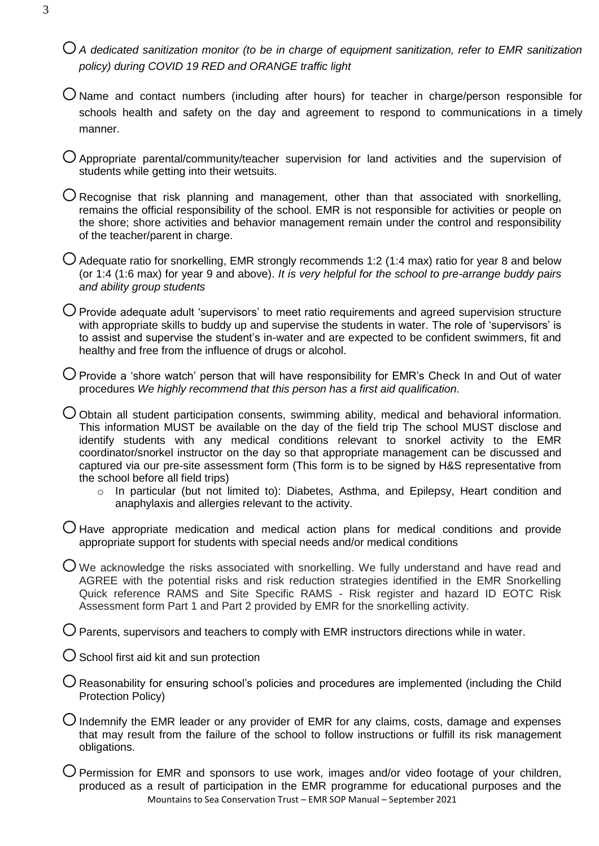- o*A dedicated sanitization monitor (to be in charge of equipment sanitization, refer to EMR sanitization policy) during COVID 19 RED and ORANGE traffic light*
- $O$  Name and contact numbers (including after hours) for teacher in charge/person responsible for schools health and safety on the day and agreement to respond to communications in a timely manner.
- $\bigcup$  Appropriate parental/community/teacher supervision for land activities and the supervision of students while getting into their wetsuits.
- $\bigcirc$  Recognise that risk planning and management, other than that associated with snorkelling, remains the official responsibility of the school. EMR is not responsible for activities or people on the shore; shore activities and behavior management remain under the control and responsibility of the teacher/parent in charge.
- $\bigcirc$  Adequate ratio for snorkelling, EMR strongly recommends 1:2 (1:4 max) ratio for year 8 and below (or 1:4 (1:6 max) for year 9 and above). *It is very helpful for the school to pre-arrange buddy pairs and ability group students*
- $\bigcirc$  Provide adequate adult 'supervisors' to meet ratio requirements and agreed supervision structure with appropriate skills to buddy up and supervise the students in water. The role of 'supervisors' is to assist and supervise the student's in-water and are expected to be confident swimmers, fit and healthy and free from the influence of drugs or alcohol.
- $\bigcirc$  Provide a 'shore watch' person that will have responsibility for EMR's Check In and Out of water procedures *We highly recommend that this person has a first aid qualification.*
- $\bigcirc$  Obtain all student participation consents, swimming ability, medical and behavioral information. This information MUST be available on the day of the field trip The school MUST disclose and identify students with any medical conditions relevant to snorkel activity to the EMR coordinator/snorkel instructor on the day so that appropriate management can be discussed and captured via our pre-site assessment form (This form is to be signed by H&S representative from the school before all field trips)
	- o In particular (but not limited to): Diabetes, Asthma, and Epilepsy, Heart condition and anaphylaxis and allergies relevant to the activity.
- $\bigcup$  Have appropriate medication and medical action plans for medical conditions and provide appropriate support for students with special needs and/or medical conditions
- $\overline{O}$  We acknowledge the risks associated with snorkelling. We fully understand and have read and AGREE with the potential risks and risk reduction strategies identified in the EMR Snorkelling Quick reference RAMS and Site Specific RAMS - Risk register and hazard ID EOTC Risk Assessment form Part 1 and Part 2 provided by EMR for the snorkelling activity.
- $\bigcirc$  Parents, supervisors and teachers to comply with EMR instructors directions while in water.
- $\bigcirc$  School first aid kit and sun protection
- $\bigcirc$  Reasonability for ensuring school's policies and procedures are implemented (including the Child Protection Policy)
- $\bigcirc$  Indemnify the EMR leader or any provider of EMR for any claims, costs, damage and expenses that may result from the failure of the school to follow instructions or fulfill its risk management obligations.
- Mountains to Sea Conservation Trust EMR SOP Manual September 2021  $\bigcirc$  Permission for EMR and sponsors to use work, images and/or video footage of your children, produced as a result of participation in the EMR programme for educational purposes and the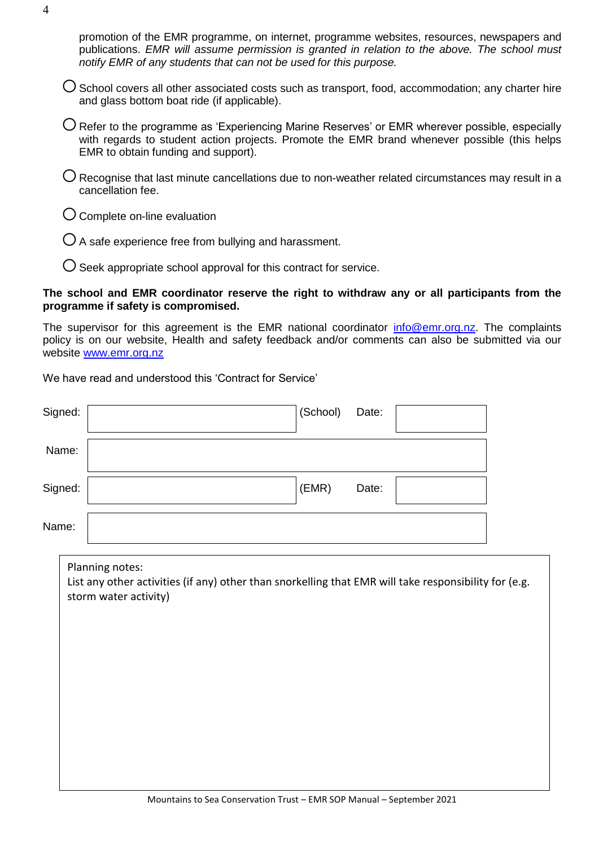promotion of the EMR programme, on internet, programme websites, resources, newspapers and publications. *EMR will assume permission is granted in relation to the above. The school must notify EMR of any students that can not be used for this purpose.*

- $\bigcup$  School covers all other associated costs such as transport, food, accommodation; any charter hire and glass bottom boat ride (if applicable).
- $\bigcirc$  Refer to the programme as 'Experiencing Marine Reserves' or EMR wherever possible, especially with regards to student action projects. Promote the EMR brand whenever possible (this helps EMR to obtain funding and support).
- $\bigcirc$  Recognise that last minute cancellations due to non-weather related circumstances may result in a cancellation fee.
- $O$  Complete on-line evaluation
- $\overline{O}$  A safe experience free from bullying and harassment.
- $\bigcup$  Seek appropriate school approval for this contract for service.

### **The school and EMR coordinator reserve the right to withdraw any or all participants from the programme if safety is compromised.**

The supervisor for this agreement is the EMR national coordinator [info@emr.org.nz.](mailto:info@emr.org.nz) The complaints policy is on our website, Health and safety feedback and/or comments can also be submitted via our website [www.emr.org.nz](../individual_forms/www.emr.org.nz)

We have read and understood this 'Contract for Service'

| Signed: | (School)<br>Date:                                                                                                                                 |  |
|---------|---------------------------------------------------------------------------------------------------------------------------------------------------|--|
| Name:   |                                                                                                                                                   |  |
| Signed: | (EMR)<br>Date:                                                                                                                                    |  |
| Name:   |                                                                                                                                                   |  |
|         | Planning notes:<br>List any other activities (if any) other than snorkelling that EMR will take responsibility for (e.g.<br>storm water activity) |  |